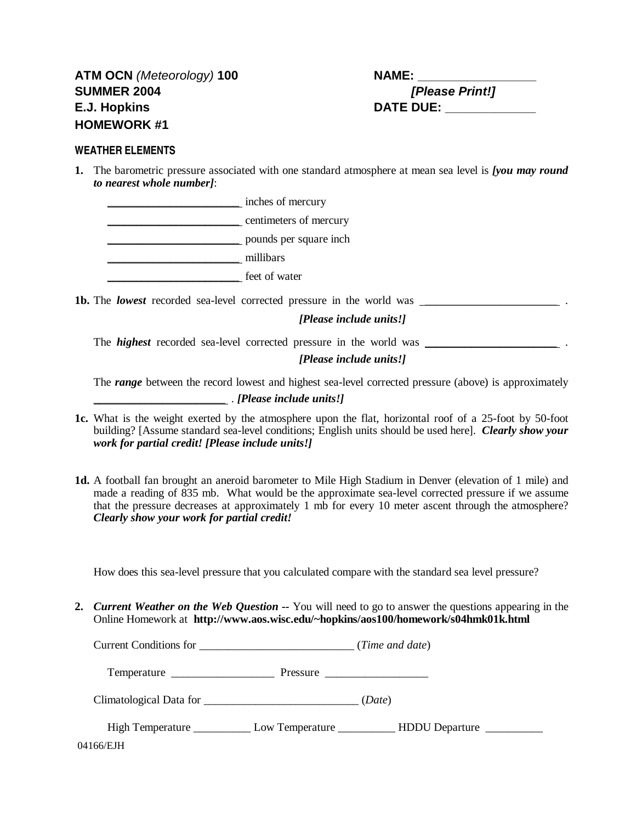## **WEATHER ELEMENTS**

**1.** The barometric pressure associated with one standard atmosphere at mean sea level is *[you may round to nearest whole number]*:

\_\_\_\_\_\_\_\_\_\_\_\_\_\_\_\_\_\_\_\_\_\_\_ inches of mercury \_\_\_\_\_\_\_\_\_\_\_\_\_\_\_\_\_\_\_\_\_\_\_ centimeters of mercury \_\_\_\_\_\_\_\_\_\_\_\_\_\_\_\_\_\_\_\_\_\_\_ pounds per square inch \_\_\_\_\_\_\_\_\_\_\_\_\_\_\_\_\_\_\_\_\_\_\_ millibars \_\_\_\_\_\_\_\_\_\_\_\_\_\_\_\_\_\_\_\_\_\_\_ feet of water

**1b.** The *lowest* recorded sea-level corrected pressure in the world was \_\_\_\_\_\_\_\_\_\_\_\_\_\_\_\_\_\_\_\_\_\_\_ .

*[Please include units!]*

The *highest* recorded sea-level corrected pressure in the world was \_\_\_\_\_\_\_\_\_\_\_\_\_\_\_\_\_\_\_\_\_\_\_ .

*[Please include units!]*

The *range* between the record lowest and highest sea-level corrected pressure (above) is approximately

\_\_\_\_\_\_\_\_\_\_\_\_\_\_\_\_\_\_\_\_\_\_\_ . *[Please include units!]*

- **1c.** What is the weight exerted by the atmosphere upon the flat, horizontal roof of a 25-foot by 50-foot building? [Assume standard sea-level conditions; English units should be used here]. *Clearly show your work for partial credit! [Please include units!]*
- **1d.** A football fan brought an aneroid barometer to Mile High Stadium in Denver (elevation of 1 mile) and made a reading of 835 mb. What would be the approximate sea-level corrected pressure if we assume that the pressure decreases at approximately 1 mb for every 10 meter ascent through the atmosphere? *Clearly show your work for partial credit!*

How does this sea-level pressure that you calculated compare with the standard sea level pressure?

**2.** *Current Weather on the Web Question --* You will need to go to answer the questions appearing in the Online Homework at **http://www.aos.wisc.edu/~hopkins/aos100/homework/s04hmk01k.html**

| <b>Current Conditions for</b> |  | (Time and date) |  |  |  |
|-------------------------------|--|-----------------|--|--|--|
|-------------------------------|--|-----------------|--|--|--|

Temperature \_\_\_\_\_\_\_\_\_\_\_\_\_\_\_\_\_\_ Pressure \_\_\_\_\_\_\_\_\_\_\_\_\_\_\_\_\_\_

Climatological Data for \_\_\_\_\_\_\_\_\_\_\_\_\_\_\_\_\_\_\_\_\_\_\_\_\_\_\_ (*Date*)

| High Temperature | Low Temperature | <b>HDDU</b> Departure |
|------------------|-----------------|-----------------------|
| 04166/EJH        |                 |                       |